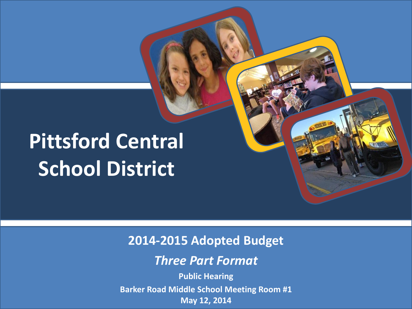# **Pittsford Central School District**

**2014-2015 Adopted Budget**

*Three Part Format*

**Public Hearing Barker Road Middle School Meeting Room #1 May 12, 2014**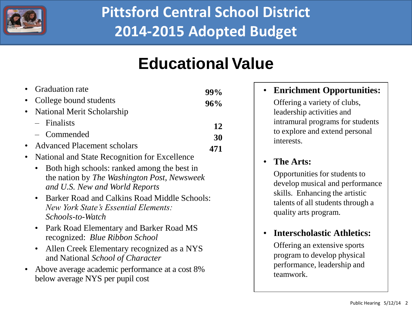

## **Educational Value**

| • Graduation rate             | 99%<br>96% |  |  |
|-------------------------------|------------|--|--|
| • College bound students      |            |  |  |
| • National Merit Scholarship  |            |  |  |
| $-$ Finalists                 | 12         |  |  |
| - Commended                   | 30         |  |  |
| • Advanced Placement scholars | 471        |  |  |

- National and State Recognition for Excellence
	- Both high schools: ranked among the best in the nation by *The Washington Post, Newsweek and U.S. New and World Reports*
	- Barker Road and Calkins Road Middle Schools: *New York State's Essential Elements: Schools-to-Watch*
	- Park Road Elementary and Barker Road MS recognized: *Blue Ribbon School*
	- Allen Creek Elementary recognized as a NYS and National *School of Character*
- Above average academic performance at a cost 8% below average NYS per pupil cost

#### • **Enrichment Opportunities:**

Offering a variety of clubs, leadership activities and intramural programs for students to explore and extend personal interests.

#### • **The Arts:**

Opportunities for students to develop musical and performance skills. Enhancing the artistic talents of all students through a quality arts program.

#### • **Interscholastic Athletics:**

 Offering an extensive sports program to develop physical performance, leadership and teamwork.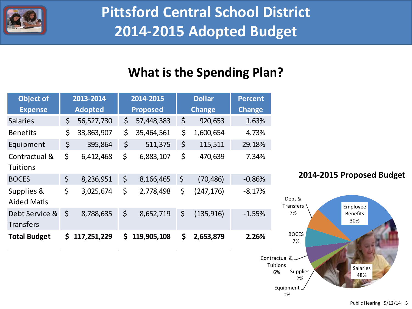

### **What is the Spending Plan?**

| <b>Object of</b>                   | 2013-2014 |                | 2014-2015 |                 | <b>Dollar</b> |               | <b>Percent</b> |
|------------------------------------|-----------|----------------|-----------|-----------------|---------------|---------------|----------------|
| <b>Expense</b>                     |           | <b>Adopted</b> |           | <b>Proposed</b> |               | <b>Change</b> | <b>Change</b>  |
| <b>Salaries</b>                    | \$        | 56,527,730     | \$        | 57,448,383      | \$            | 920,653       | 1.63%          |
| <b>Benefits</b>                    | \$        | 33,863,907     | \$        | 35,464,561      | \$            | 1,600,654     | 4.73%          |
| Equipment                          | \$        | 395,864        | \$        | 511,375         | \$            | 115,511       | 29.18%         |
| Contractual &<br><b>Tuitions</b>   | \$        | 6,412,468      | \$        | 6,883,107       | \$            | 470,639       | 7.34%          |
| <b>BOCES</b>                       | \$        | 8,236,951      | \$        | 8,166,465       | \$            | (70, 486)     | $-0.86%$       |
| Supplies &<br><b>Aided Matls</b>   | \$        | 3,025,674      | \$        | 2,778,498       | \$            | (247,176)     | $-8.17%$       |
| Debt Service &<br><b>Transfers</b> | \$        | 8,788,635      | \$        | 8,652,719       | \$            | (135, 916)    | $-1.55%$       |
| <b>Total Budget</b>                | \$        | 117,251,229    | \$        | 119,905,108     | \$            | 2,653,879     | 2.26%          |

#### **2014-2015 Proposed Budget**

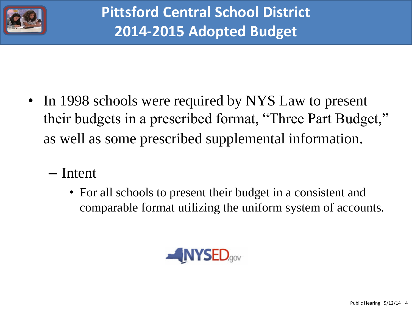

- In 1998 schools were required by NYS Law to present their budgets in a prescribed format, "Three Part Budget," as well as some prescribed supplemental information.
	- Intent
		- For all schools to present their budget in a consistent and comparable format utilizing the uniform system of accounts.

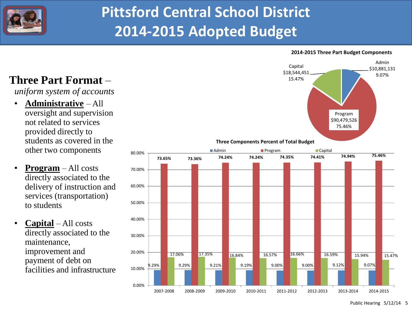

#### **2014-2015 Three Part Budget Components**



*uniform system of accounts*

- **Administrative** All oversight and supervision not related to services provided directly to students as covered in the other two components
- **Program** All costs directly associated to the delivery of instruction and services (transportation) to students
- **Capital** All costs directly associated to the maintenance, improvement and payment of debt on





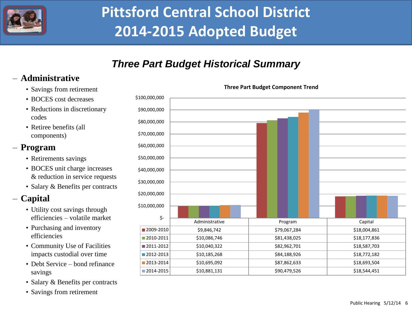

### *Three Part Budget Historical Summary*

#### – **Administrative**

- Savings from retirement
- BOCES cost decreases
- Reductions in discretionary codes
- Retiree benefits (all components)

#### – **Program**

- Retirements savings
- BOCES unit charge increases & reduction in service requests
- Salary & Benefits per contracts

#### – **Capital**

- Utility cost savings through efficiencies – volatile market
- Purchasing and inventory efficiencies
- Community Use of Facilities impacts custodial over time
- Debt Service bond refinance savings
- Salary & Benefits per contracts
- Savings from retirement



**Three Part Budget Component Trend**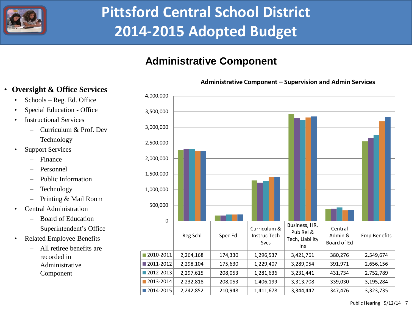

#### **Administrative Component**

#### **Administrative Component – Supervision and Admin Services**

#### • **Oversight & Office Services**

- Schools Reg. Ed. Office
- Special Education Office
- **Instructional Services** 
	- Curriculum & Prof. Dev
	- Technology
- **Support Services** 
	- Finance
	- Personnel
	- Public Information
	- Technology
	- Printing & Mail Room
- Central Administration
	- Board of Education
	- Superintendent's Office
- Related Employee Benefits
	- All retiree benefits are recorded in Administrative Component



Public Hearing 5/12/14 7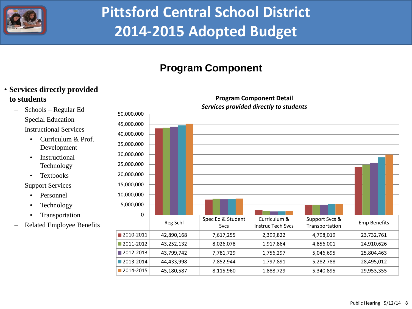

### **Program Component**

#### • **Services directly provided to students**

- Schools Regular Ed
- Special Education
- Instructional Services
	- Curriculum & Prof. Development
	- Instructional Technology
	- Textbooks
- **Support Services** 
	- Personnel
	- Technology
	- Transportation
- Related Employee Benefits

#### Reg Schl Spec Ed & Student Svcs Curriculum & Instruc Tech Svcs Support Svcs & Support Sves & Emp Benefits 2010-2011 42,890,168 7,617,255 2,399,822 4,798,019 23,732,761 2011-2012 43,252,132 8,026,078 1,917,864 4,856,001 24,910,626 2012-2013 43,799,742 7,781,729 1,756,297 5,046,695 25,804,463 2013-2014 44,433,998 7,852,944 1,797,891 5,282,788 28,495,012 2014-2015 45,180,587 8,115,960 1,888,729 5,340,895 29,953,355 0 5,000,000 10,000,000 15,000,000 20,000,000 25,000,000 30,000,000 35,000,000 40,000,000 45,000,000 50,000,000

#### **Program Component Detail** *Services provided directly to students*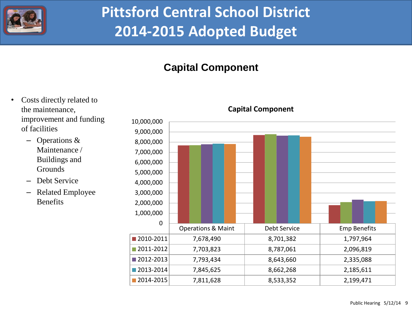

### **Capital Component**

Costs directly related to the maintenance, improvement and funding of facilities – Operations & Maintenance / Buildings and **Grounds** – Debt Service – Related Employee **Benefits** Operations & Maint | Debt Service | Emp Benefits 2010-2011 7,678,490 8,701,382 1,797,964 **2011-2012** 7,703,823 8,787,061 2,096,819  $\blacksquare$  2012-2013 7,793,434 8,643,660 2,335,088 **2013-2014** 7,845,625 8,662,268 2,185,611 **2014-2015** 7,811,628 8,533,352 2,199,471 0 1,000,000 2,000,000 3,000,000 4,000,000 5,000,000 6,000,000 7,000,000 8,000,000 9,000,000 10,000,000 **Capital Component**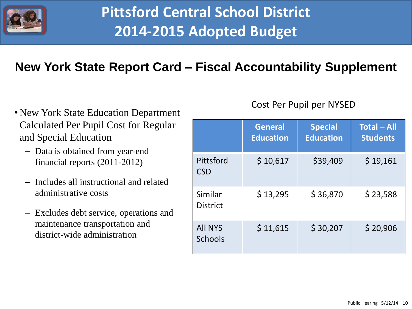

### **New York State Report Card – Fiscal Accountability Supplement**

- New York State Education Department Calculated Per Pupil Cost for Regular and Special Education
	- Data is obtained from year-end financial reports (2011-2012)
	- Includes all instructional and related administrative costs
	- Excludes debt service, operations and maintenance transportation and district-wide administration

#### Cost Per Pupil per NYSED

|                                  | <b>General</b><br><b>Education</b> | <b>Special</b><br><b>Education</b> | <b>Total - All</b><br><b>Students</b> |  |
|----------------------------------|------------------------------------|------------------------------------|---------------------------------------|--|
| Pittsford<br><b>CSD</b>          | \$10,617                           | \$39,409                           | \$19,161                              |  |
| Similar<br><b>District</b>       | \$13,295                           | \$36,870                           | \$23,588                              |  |
| <b>All NYS</b><br><b>Schools</b> | \$11,615                           | \$30,207                           | \$20,906                              |  |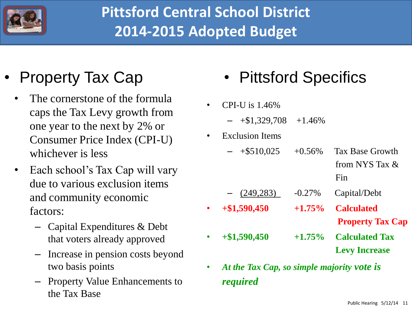

## • Property Tax Cap

- The cornerstone of the formula caps the Tax Levy growth from one year to the next by 2% or Consumer Price Index (CPI-U) whichever is less
- Each school's Tax Cap will vary due to various exclusion items and community economic factors:
	- Capital Expenditures & Debt that voters already approved
	- Increase in pension costs beyond two basis points
	- Property Value Enhancements to the Tax Base
- Pittsford Specifics
- CPI-U is 1.46%
	- $+$ \$1,329,708  $+$ 1.46%
- **Exclusion Items** 
	- $-$  +\$510,025 +0.56% Tax Base Growth from NYS Tax &
		- Fin
	- (249,283) -0.27% Capital/Debt
- **+\$1,590,450 +1.75% Calculated**
- 
- - **Property Tax Cap**
- **+\$1,590,450 +1.75% Calculated Tax Levy Increase**
- *At the Tax Cap, so simple majority vote is required*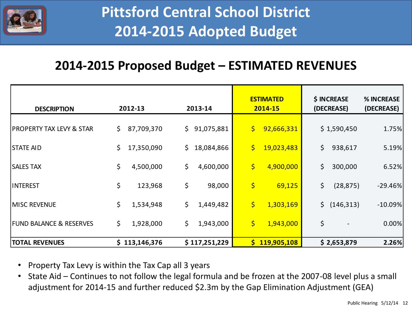

### **2014-2015 Proposed Budget – ESTIMATED REVENUES**

| <b>DESCRIPTION</b>                  | 2012-13               | 2013-14         | <b>ESTIMATED</b><br>2014-15                       | \$ INCREASE<br>(DECREASE) | % INCREASE<br>(DECREASE) |
|-------------------------------------|-----------------------|-----------------|---------------------------------------------------|---------------------------|--------------------------|
| <b>PROPERTY TAX LEVY &amp; STAR</b> | $\zeta$<br>87,709,370 | \$91,075,881    | $\left  \boldsymbol{\zeta} \right $<br>92,666,331 | \$1,590,450               | 1.75%                    |
| <b>STATE AID</b>                    | \$<br>17,350,090      | \$18,084,866    | $\boldsymbol{\zeta}$<br>19,023,483                | \$<br>938,617             | 5.19%                    |
| <b>SALES TAX</b>                    | \$<br>4,500,000       | \$<br>4,600,000 | \$<br>4,900,000                                   | \$<br>300,000             | 6.52%                    |
| <b>INTEREST</b>                     | \$<br>123,968         | \$<br>98,000    | $\varsigma$<br>69,125                             | \$<br>(28, 875)           | $-29.46%$                |
| <b>MISC REVENUE</b>                 | \$<br>1,534,948       | \$<br>1,449,482 | $\varsigma$<br>1,303,169                          | \$ (146,313)              | $-10.09%$                |
| <b>FUND BALANCE &amp; RESERVES</b>  | \$<br>1,928,000       | \$<br>1,943,000 | $\varsigma$<br>1,943,000                          | \$                        | 0.00%                    |
| <b>TOTAL REVENUES</b>               | \$113,146,376         | \$117,251,229   | \$119,905,108                                     | \$2,653,879               | 2.26%                    |

- Property Tax Levy is within the Tax Cap all 3 years
- State Aid Continues to not follow the legal formula and be frozen at the 2007-08 level plus a small adjustment for 2014-15 and further reduced \$2.3m by the Gap Elimination Adjustment (GEA)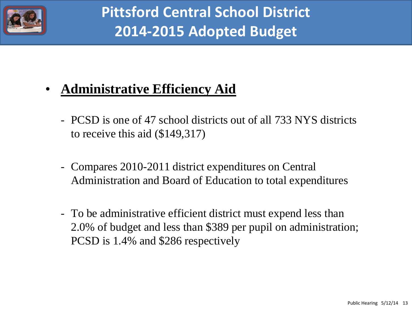

### • **Administrative Efficiency Aid**

- PCSD is one of 47 school districts out of all 733 NYS districts to receive this aid (\$149,317)
- Compares 2010-2011 district expenditures on Central Administration and Board of Education to total expenditures
- To be administrative efficient district must expend less than 2.0% of budget and less than \$389 per pupil on administration; PCSD is 1.4% and \$286 respectively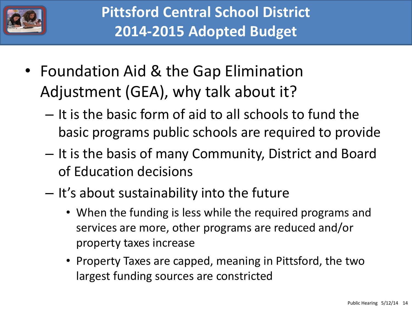

- Foundation Aid & the Gap Elimination Adjustment (GEA), why talk about it?
	- It is the basic form of aid to all schools to fund the basic programs public schools are required to provide
	- It is the basis of many Community, District and Board of Education decisions
	- It's about sustainability into the future
		- When the funding is less while the required programs and services are more, other programs are reduced and/or property taxes increase
		- Property Taxes are capped, meaning in Pittsford, the two largest funding sources are constricted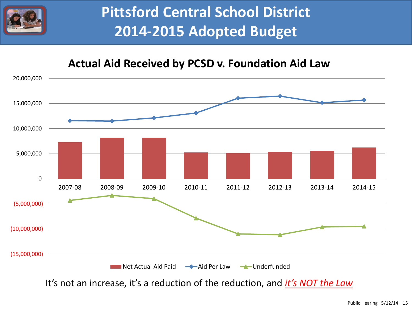

### **Actual Aid Received by PCSD v. Foundation Aid Law**



It's not an increase, it's a reduction of the reduction, and *it's NOT the Law*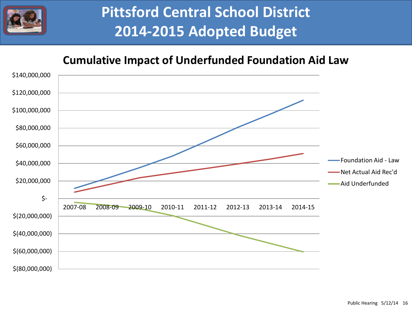

### **Cumulative Impact of Underfunded Foundation Aid Law**

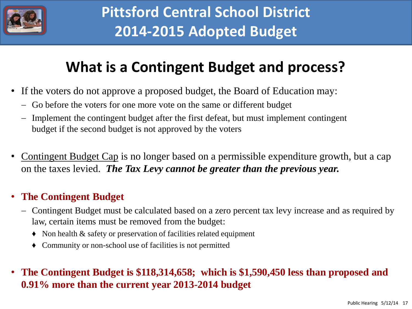

### **What is a Contingent Budget and process?**

- If the voters do not approve a proposed budget, the Board of Education may:
	- Go before the voters for one more vote on the same or different budget
	- Implement the contingent budget after the first defeat, but must implement contingent budget if the second budget is not approved by the voters
- Contingent Budget Cap is no longer based on a permissible expenditure growth, but a cap on the taxes levied. *The Tax Levy cannot be greater than the previous year.*

#### • **The Contingent Budget**

- Contingent Budget must be calculated based on a zero percent tax levy increase and as required by law, certain items must be removed from the budget:
	- ♦ Non health & safety or preservation of facilities related equipment
	- ♦ Community or non-school use of facilities is not permitted

### • **The Contingent Budget is \$118,314,658; which is \$1,590,450 less than proposed and 0.91% more than the current year 2013-2014 budget**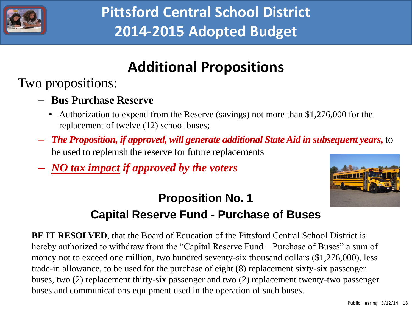

### **Additional Propositions**

Two propositions:

- **Bus Purchase Reserve**
	- Authorization to expend from the Reserve (savings) not more than \$1,276,000 for the replacement of twelve (12) school buses;
- *The Proposition, if approved, will generate additional State Aid in subsequent years,* to be used to replenish the reserve for future replacements
- *NO tax impact if approved by the voters*



### **Proposition No. 1**

### **Capital Reserve Fund - Purchase of Buses**

**BE IT RESOLVED**, that the Board of Education of the Pittsford Central School District is hereby authorized to withdraw from the "Capital Reserve Fund – Purchase of Buses" a sum of money not to exceed one million, two hundred seventy-six thousand dollars (\$1,276,000), less trade-in allowance, to be used for the purchase of eight (8) replacement sixty-six passenger buses, two (2) replacement thirty-six passenger and two (2) replacement twenty-two passenger buses and communications equipment used in the operation of such buses.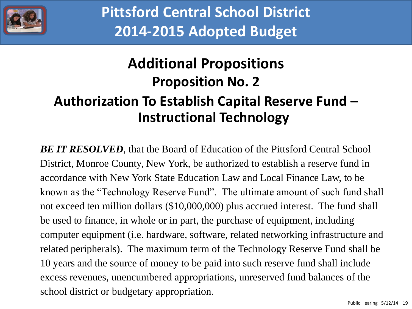

### **Additional Propositions Proposition No. 2 Authorization To Establish Capital Reserve Fund – Instructional Technology**

*BE IT RESOLVED*, that the Board of Education of the Pittsford Central School District, Monroe County, New York, be authorized to establish a reserve fund in accordance with New York State Education Law and Local Finance Law, to be known as the "Technology Reserve Fund". The ultimate amount of such fund shall not exceed ten million dollars (\$10,000,000) plus accrued interest. The fund shall be used to finance, in whole or in part, the purchase of equipment, including computer equipment (i.e. hardware, software, related networking infrastructure and related peripherals). The maximum term of the Technology Reserve Fund shall be 10 years and the source of money to be paid into such reserve fund shall include excess revenues, unencumbered appropriations, unreserved fund balances of the school district or budgetary appropriation.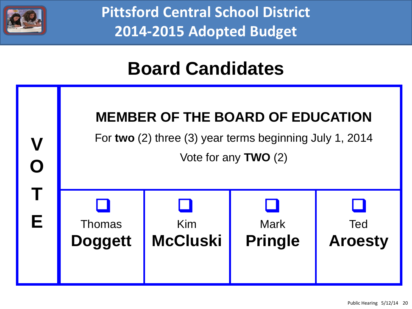

## **Board Candidates**

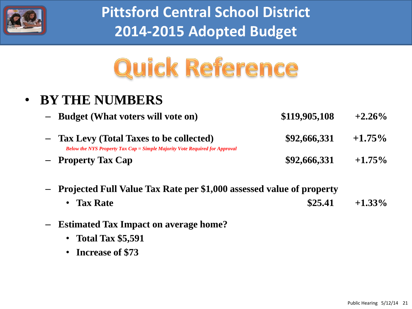

# Quick Reference

### • **BY THE NUMBERS**

- **Budget (What voters will vote on) \$119,905,108 +2.26%**
- **Tax Levy (Total Taxes to be collected) \$92,666,331 +1.75%** *Below the NYS Property Tax Cap = Simple Majority Vote Required for Approval* – **Property Tax Cap \$92,666,331 +1.75%**
- **Projected Full Value Tax Rate per \$1,000 assessed value of property**
	- **Tax Rate \$25.41 +1.33%**
- **Estimated Tax Impact on average home?**
	- **Total Tax \$5,591**
	- **Increase of \$73**